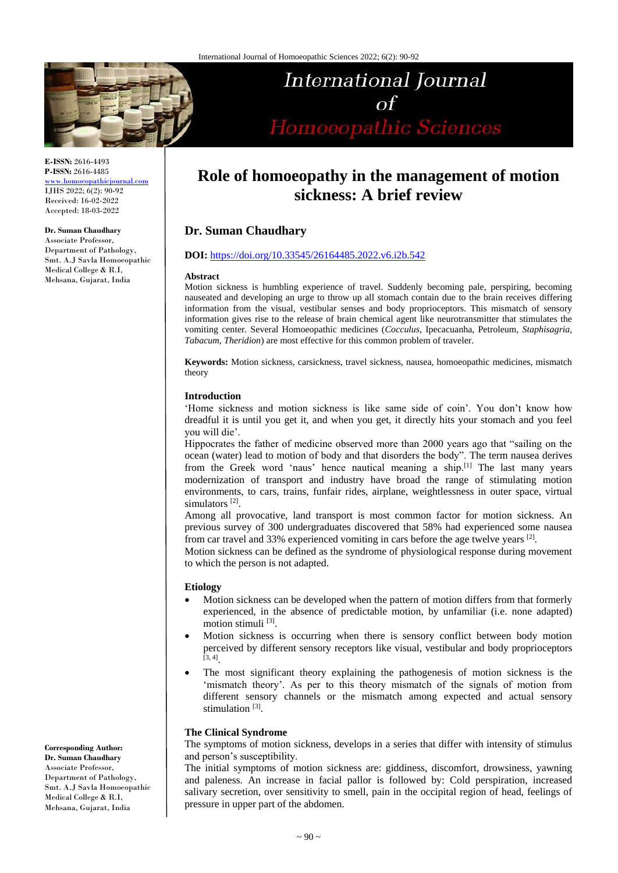

International Journal  $\Omega$ Homoeopathic Sciences

**E-ISSN:** 2616-4493 **P-ISSN:** 2616-4485 [www.homoeopathicjournal.com](file://///Server/test/homoeopathicjournal/issue/vol%204/issue%201/www.homoeopathicjournal.com) IJHS 2022; 6(2): 90-92 Received: 16-02-2022 Accepted: 18-03-2022

#### **Dr. Suman Chaudhary**

Associate Professor, Department of Pathology, Smt. A.J Savla Homoeopathic Medical College & R.I, Mehsana, Gujarat, India

# **Role of homoeopathy in the management of motion sickness: A brief review**

# **Dr. Suman Chaudhary**

# **DOI:** <https://doi.org/10.33545/26164485.2022.v6.i2b.542>

#### **Abstract**

Motion sickness is humbling experience of travel. Suddenly becoming pale, perspiring, becoming nauseated and developing an urge to throw up all stomach contain due to the brain receives differing information from the visual, vestibular senses and body proprioceptors. This mismatch of sensory information gives rise to the release of brain chemical agent like neurotransmitter that stimulates the vomiting center. Several Homoeopathic medicines (*Cocculus*, Ipecacuanha, Petroleum, *Staphisagria*, *Tabacum*, *Theridion*) are most effective for this common problem of traveler.

**Keywords:** Motion sickness, carsickness, travel sickness, nausea, homoeopathic medicines, mismatch theory

# **Introduction**

'Home sickness and motion sickness is like same side of coin'. You don't know how dreadful it is until you get it, and when you get, it directly hits your stomach and you feel you will die'.

Hippocrates the father of medicine observed more than 2000 years ago that "sailing on the ocean (water) lead to motion of body and that disorders the body". The term nausea derives from the Greek word 'naus' hence nautical meaning a ship.<sup>[1]</sup> The last many years modernization of transport and industry have broad the range of stimulating motion environments, to cars, trains, funfair rides, airplane, weightlessness in outer space, virtual simulators<sup>[2]</sup>.

Among all provocative, land transport is most common factor for motion sickness. An previous survey of 300 undergraduates discovered that 58% had experienced some nausea from car travel and 33% experienced vomiting in cars before the age twelve years  $[2]$ .

Motion sickness can be defined as the syndrome of physiological response during movement to which the person is not adapted.

## **Etiology**

- Motion sickness can be developed when the pattern of motion differs from that formerly experienced, in the absence of predictable motion, by unfamiliar (i.e. none adapted) motion stimuli<sup>[3]</sup>.
- Motion sickness is occurring when there is sensory conflict between body motion perceived by different sensory receptors like visual, vestibular and body proprioceptors  $[3, 4]$ .
- The most significant theory explaining the pathogenesis of motion sickness is the 'mismatch theory'. As per to this theory mismatch of the signals of motion from different sensory channels or the mismatch among expected and actual sensory stimulation<sup>[3]</sup>.

# **The Clinical Syndrome**

The symptoms of motion sickness, develops in a series that differ with intensity of stimulus and person's susceptibility.

The initial symptoms of motion sickness are: giddiness, discomfort, drowsiness, yawning and paleness. An increase in facial pallor is followed by: Cold perspiration, increased salivary secretion, over sensitivity to smell, pain in the occipital region of head, feelings of pressure in upper part of the abdomen.

**Corresponding Author: Dr. Suman Chaudhary** Associate Professor, Department of Pathology, Smt. A.J Savla Homoeopathic Medical College & R.I, Mehsana, Gujarat, India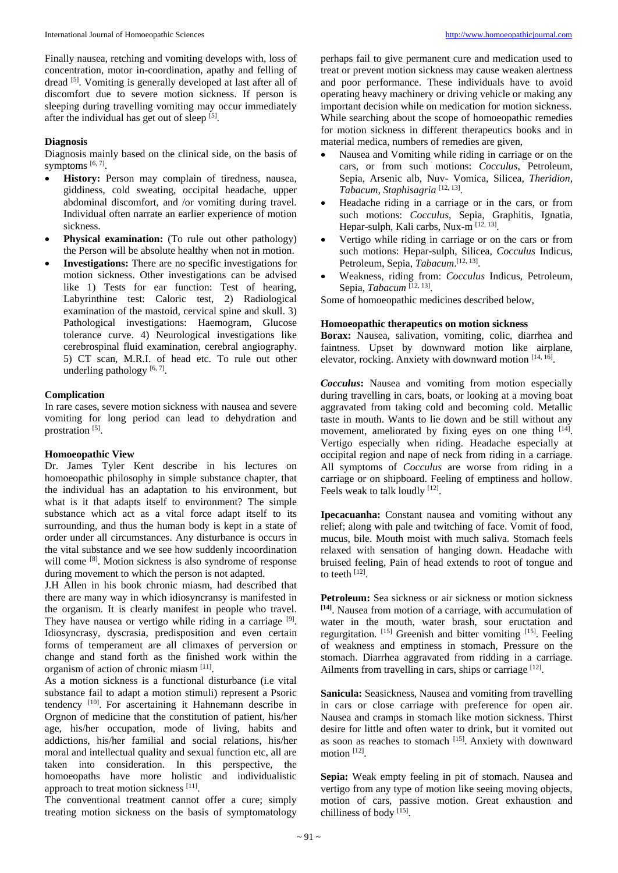Finally nausea, retching and vomiting develops with, loss of concentration, motor in-coordination, apathy and felling of dread <a>[5]</a>. Vomiting is generally developed at last after all of discomfort due to severe motion sickness. If person is sleeping during travelling vomiting may occur immediately after the individual has get out of sleep [5].

# **Diagnosis**

Diagnosis mainly based on the clinical side, on the basis of symptoms  $[6, 7]$ .

- **History:** Person may complain of tiredness, nausea, giddiness, cold sweating, occipital headache, upper abdominal discomfort, and /or vomiting during travel. Individual often narrate an earlier experience of motion sickness.
- **Physical examination:** (To rule out other pathology) the Person will be absolute healthy when not in motion.
- **Investigations:** There are no specific investigations for motion sickness. Other investigations can be advised like 1) Tests for ear function: Test of hearing, Labyrinthine test: Caloric test, 2) Radiological examination of the mastoid, cervical spine and skull. 3) Pathological investigations: Haemogram, Glucose tolerance curve. 4) Neurological investigations like cerebrospinal fluid examination, cerebral angiography. 5) CT scan, M.R.I. of head etc. To rule out other underling pathology  $[6, 7]$ .

## **Complication**

In rare cases, severe motion sickness with nausea and severe vomiting for long period can lead to dehydration and prostration [5].

# **Homoeopathic View**

Dr. James Tyler Kent describe in his lectures on homoeopathic philosophy in simple substance chapter, that the individual has an adaptation to his environment, but what is it that adapts itself to environment? The simple substance which act as a vital force adapt itself to its surrounding, and thus the human body is kept in a state of order under all circumstances. Any disturbance is occurs in the vital substance and we see how suddenly incoordination will come <sup>[8]</sup>. Motion sickness is also syndrome of response during movement to which the person is not adapted.

J.H Allen in his book chronic miasm, had described that there are many way in which idiosyncransy is manifested in the organism. It is clearly manifest in people who travel. They have nausea or vertigo while riding in a carriage [9]. Idiosyncrasy, dyscrasia, predisposition and even certain forms of temperament are all climaxes of perversion or change and stand forth as the finished work within the organism of action of chronic miasm [11].

As a motion sickness is a functional disturbance (i.e vital substance fail to adapt a motion stimuli) represent a Psoric tendency<sup>[10]</sup>. For ascertaining it Hahnemann describe in Orgnon of medicine that the constitution of patient, his/her age, his/her occupation, mode of living, habits and addictions, his/her familial and social relations, his/her moral and intellectual quality and sexual function etc, all are taken into consideration. In this perspective, the homoeopaths have more holistic and individualistic approach to treat motion sickness [11].

The conventional treatment cannot offer a cure; simply treating motion sickness on the basis of symptomatology perhaps fail to give permanent cure and medication used to treat or prevent motion sickness may cause weaken alertness and poor performance. These individuals have to avoid operating heavy machinery or driving vehicle or making any important decision while on medication for motion sickness. While searching about the scope of homoeopathic remedies for motion sickness in different therapeutics books and in material medica, numbers of remedies are given,

- Nausea and Vomiting while riding in carriage or on the cars, or from such motions: *Cocculus*, Petroleum, Sepia, Arsenic alb, Nuv- Vomica, Silicea, *Theridion*, *Tabacum*, *Staphisagria* [12, 13] .
- Headache riding in a carriage or in the cars, or from such motions: *Cocculus*, Sepia, Graphitis, Ignatia, Hepar-sulph, Kali carbs, Nux-m<sup>[12, 13]</sup>.
- Vertigo while riding in carriage or on the cars or from such motions: Hepar-sulph, Silicea, *Cocculus* Indicus, Petroleum, Sepia, Tabacum.<sup>[12, 13]</sup>.
- Weakness, riding from: *Cocculus* Indicus, Petroleum, Sepia, Tabacum<sup>[12, 13]</sup>.

Some of homoeopathic medicines described below,

# **Homoeopathic therapeutics on motion sickness**

**Borax:** Nausea, salivation, vomiting, colic, diarrhea and faintness. Upset by downward motion like airplane, elevator, rocking. Anxiety with downward motion [14, 16].

*Cocculus***:** Nausea and vomiting from motion especially during travelling in cars, boats, or looking at a moving boat aggravated from taking cold and becoming cold. Metallic taste in mouth. Wants to lie down and be still without any movement, ameliorated by fixing eyes on one thing [14]. Vertigo especially when riding. Headache especially at occipital region and nape of neck from riding in a carriage. All symptoms of *Cocculus* are worse from riding in a carriage or on shipboard. Feeling of emptiness and hollow. Feels weak to talk loudly [12].

**Ipecacuanha:** Constant nausea and vomiting without any relief; along with pale and twitching of face. Vomit of food, mucus, bile. Mouth moist with much saliva. Stomach feels relaxed with sensation of hanging down. Headache with bruised feeling, Pain of head extends to root of tongue and to teeth [12].

Petroleum: Sea sickness or air sickness or motion sickness **[14]** . Nausea from motion of a carriage, with accumulation of water in the mouth, water brash, sour eructation and regurgitation. [15] Greenish and bitter vomiting [15]. Feeling of weakness and emptiness in stomach, Pressure on the stomach. Diarrhea aggravated from ridding in a carriage. Ailments from travelling in cars, ships or carriage [12].

**Sanicula:** Seasickness, Nausea and vomiting from travelling in cars or close carriage with preference for open air. Nausea and cramps in stomach like motion sickness. Thirst desire for little and often water to drink, but it vomited out as soon as reaches to stomach [15]. Anxiety with downward motion<sup>[12]</sup>.

**Sepia:** Weak empty feeling in pit of stomach. Nausea and vertigo from any type of motion like seeing moving objects, motion of cars, passive motion. Great exhaustion and chilliness of body<sup>[15]</sup>.